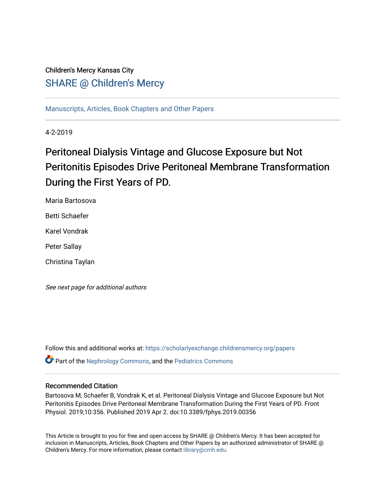# Children's Mercy Kansas City SHARE @ Children's Mercy

[Manuscripts, Articles, Book Chapters and Other Papers](https://scholarlyexchange.childrensmercy.org/papers)

4-2-2019

# Peritoneal Dialysis Vintage and Glucose Exposure but Not Peritonitis Episodes Drive Peritoneal Membrane Transformation During the First Years of PD.

Maria Bartosova Betti Schaefer Karel Vondrak Peter Sallay Christina Taylan

See next page for additional authors

Follow this and additional works at: [https://scholarlyexchange.childrensmercy.org/papers](https://scholarlyexchange.childrensmercy.org/papers?utm_source=scholarlyexchange.childrensmercy.org%2Fpapers%2F2664&utm_medium=PDF&utm_campaign=PDFCoverPages) 

**C** Part of the [Nephrology Commons,](http://network.bepress.com/hgg/discipline/691?utm_source=scholarlyexchange.childrensmercy.org%2Fpapers%2F2664&utm_medium=PDF&utm_campaign=PDFCoverPages) and the Pediatrics Commons

#### Recommended Citation

Bartosova M, Schaefer B, Vondrak K, et al. Peritoneal Dialysis Vintage and Glucose Exposure but Not Peritonitis Episodes Drive Peritoneal Membrane Transformation During the First Years of PD. Front Physiol. 2019;10:356. Published 2019 Apr 2. doi:10.3389/fphys.2019.00356

This Article is brought to you for free and open access by SHARE @ Children's Mercy. It has been accepted for inclusion in Manuscripts, Articles, Book Chapters and Other Papers by an authorized administrator of SHARE @ Children's Mercy. For more information, please contact [library@cmh.edu](mailto:library@cmh.edu).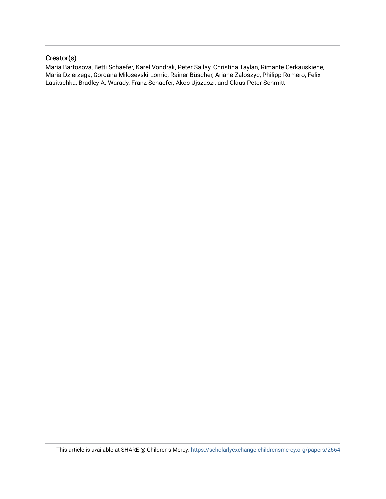## Creator(s)

Maria Bartosova, Betti Schaefer, Karel Vondrak, Peter Sallay, Christina Taylan, Rimante Cerkauskiene, Maria Dzierzega, Gordana Milosevski-Lomic, Rainer Büscher, Ariane Zaloszyc, Philipp Romero, Felix Lasitschka, Bradley A. Warady, Franz Schaefer, Akos Ujszaszi, and Claus Peter Schmitt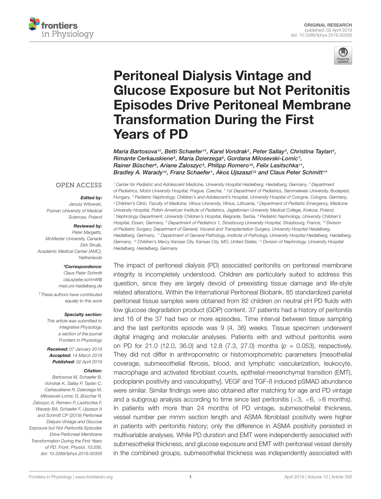



# Peritoneal Dialysis Vintage and Glucose Exposure but Not Peritonitis [Episodes Drive Peritoneal Membrane](https://www.frontiersin.org/articles/10.3389/fphys.2019.00356/full) Transformation During the First Years of PD

[Maria Bartosova](http://loop.frontiersin.org/people/596204/overview)11, [Betti Schaefer](http://loop.frontiersin.org/people/631495/overview)11, Karel Vondrak<sup>2</sup>, Peter Sallay<sup>3</sup>, Christina Taylan<sup>4</sup>, [Rimante Cerkauskiene](http://loop.frontiersin.org/people/708041/overview)<sup>5</sup>, Maria Dzierzega<sup>6</sup>, Gordana Milosevski-Lomic<sup>7</sup>, [Rainer Büscher](http://loop.frontiersin.org/people/141617/overview)<sup>s</sup>, Ariane Zaloszyc<sup>s</sup>, Philipp Romero10, Felix Lasitschka11, Bradley A. Warady<sup>12</sup>, [Franz Schaefer](http://loop.frontiersin.org/people/139331/overview)<sup>1</sup>, Akos Ujszaszi<sup>13</sup> and Claus Peter Schmitt<sup>1</sup>\*

#### **OPEN ACCESS**

#### Edited by:

Janusz Witowski, Poznan University of Medical Sciences, Poland

#### Reviewed by:

Peter Margetts, McMaster University, Canada Dirk Struijk, Academic Medical Center (AMC), **Netherlands** 

#### \*Correspondence:

Claus Peter Schmitt [clauspeter.schmitt@](mailto:clauspeter.schmitt@med.uni-heidelberg.de) [med.uni-heidelberg.de](mailto:clauspeter.schmitt@med.uni-heidelberg.de)

†These authors have contributed equally to this work

#### Specialty section:

This article was submitted to Integrative Physiology, a section of the journal Frontiers in Physiology

Received: 07 January 2019 Accepted: 14 March 2019 Published: 02 April 2019

#### Citation:

Bartosova M, Schaefer B, Vondrak K, Sallay P, Taylan C, Cerkauskiene R, Dzierzega M, Milosevski-Lomic G, Büscher R, Zaloszyc A, Romero P, Lasitschka F, Warady BA, Schaefer F, Ujszaszi A and Schmitt CP (2019) Peritoneal Dialysis Vintage and Glucose Exposure but Not Peritonitis Episodes Drive Peritoneal Membrane Transformation During the First Years of PD. Front. Physiol. 10:356. doi: [10.3389/fphys.2019.00356](https://doi.org/10.3389/fphys.2019.00356) <sup>1</sup> Center for Pediatric and Adolescent Medicine, University Hospital Heidelberg, Heidelberg, Germany, <sup>2</sup> Department of Pediatrics, Motol University Hospital, Prague, Czechia, <sup>3</sup> 1st Department of Pediatrics, Semmelweis University, Budapest, Hungary, <sup>4</sup> Pediatric Nephrology, Children's and Adolescent's Hospital, University Hospital of Cologne, Cologne, Germany, <sup>5</sup> Children's Clinic, Faculty of Medicine, Vilnius University, Vilnius, Lithuania, <sup>6</sup> Department of Pediatric Emergency, Medicine University Hospital, Polish-American Institute of Pediatrics, Jagiellonian University Medical College, Krakow, Poland, <sup>7</sup> Nephrology Department, University Children's Hospital, Belgrade, Serbia, <sup>8</sup> Pediatric Nephrology, University Children's Hospital, Essen, Germany, <sup>9</sup> Department of Pediatrics 1, Strasbourg University Hospital, Strasbourg, France, <sup>10</sup> Division of Pediatric Surgery, Department of General, Visceral and Transplantation Surgery, University Hospital Heidelberg, Heidelberg, Germany, <sup>11</sup> Department of General Pathology, Institute of Pathology, University Hospital Heidelberg, Heidelberg, Germany, <sup>12</sup> Children's Mercy Kansas City, Kansas City, MO, United States, <sup>13</sup> Division of Nephrology, University Hospital Heidelberg, Heidelberg, Germany

The impact of peritoneal dialysis (PD) associated peritonitis on peritoneal membrane integrity is incompletely understood. Children are particularly suited to address this question, since they are largely devoid of preexisting tissue damage and life-style related alterations. Within the International Peritoneal Biobank, 85 standardized parietal peritoneal tissue samples were obtained from 82 children on neutral pH PD fluids with low glucose degradation product (GDP) content. 37 patients had a history of peritonitis and 16 of the 37 had two or more episodes. Time interval between tissue sampling and the last peritonitis episode was 9 (4, 36) weeks. Tissue specimen underwent digital imaging and molecular analyses. Patients with and without peritonitis were on PD for 21.0 (12.0, 36.0) and 12.8 (7.3, 27.0) months ( $p = 0.053$ ), respectively. They did not differ in anthropometric or histomorphometric parameters [mesothelial coverage, submesothelial fibrosis, blood, and lymphatic vascularization, leukocyte, macrophage and activated fibroblast counts, epithelial-mesenchymal transition (EMT), podoplanin positivity and vasculopathy]. VEGF and TGF-ß induced pSMAD abundance were similar. Similar findings were also obtained after matching for age and PD vintage and a subgroup analysis according to time since last peritonitis  $( $3,  $6, >6$$  months).$ In patients with more than 24 months of PD vintage, submesothelial thickness, vessel number per mmm section length and ASMA fibroblast positivity were higher in patients with peritonitis history; only the difference in ASMA positivity persisted in multivariable analyses. While PD duration and EMT were independently associated with submesothelial thickness, and glucose exposure and EMT with peritoneal vessel density in the combined groups, submesothelial thickness was independently associated with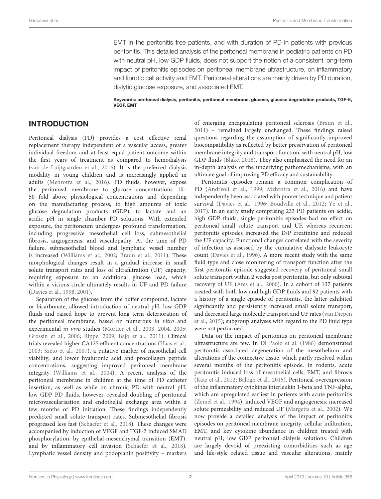EMT in the peritonitis free patients, and with duration of PD in patients with previous peritonitis. This detailed analysis of the peritoneal membrane in pediatric patients on PD with neutral pH, low GDP fluids, does not support the notion of a consistent long-term impact of peritonitis episodes on peritoneal membrane ultrastructure, on inflammatory and fibrotic cell activity and EMT. Peritoneal alterations are mainly driven by PD duration, dialytic glucose exposure, and associated EMT.

#### Keywords: peritoneal dialysis, peritonitis, peritoneal membrane, glucose, glucose degradation products, TGF-ß, VEGF, EMT

## INTRODUCTION

Peritoneal dialysis (PD) provides a cost effective renal replacement therapy independent of a vascular access, greater individual freedom and at least equal patient outcome within the first years of treatment as compared to hemodialysis [\(van de Luijtgaarden et al.,](#page-11-0) [2016\)](#page-11-0). It is the preferred dialysis modality in young children and is increasingly applied in adults [\(Mehrotra et al.,](#page-10-0) [2016\)](#page-10-0). PD fluids, however, expose the peritoneal membrane to glucose concentrations 10– 50 fold above physiological concentrations and depending on the manufacturing process, to high amounts of toxic glucose degradation products (GDP), to lactate and an acidic pH in single chamber PD solutions. With extended exposure, the peritoneum undergoes profound transformation, including progressive mesothelial cell loss, submesothelial fibrosis, angiogenesis, and vasculopathy. At the time of PD failure, submesothelial blood and lymphatic vessel number is increased [\(Williams et al.,](#page-11-1) [2002;](#page-11-1) [Braun et al.,](#page-10-1) [2011\)](#page-10-1). These morphological changes result in a gradual increase in small solute transport rates and loss of ultrafiltration (UF) capacity, requiring exposure to an additional glucose load, which within a vicious circle ultimately results in UF and PD failure [\(Davies et al.,](#page-10-2) [1998,](#page-10-2) [2001\)](#page-10-3).

Separation of the glucose from the buffer compound, lactate or bicarbonate, allowed introduction of neutral pH, low GDP fluids and raised hope to prevent long term deterioration of the peritoneal membrane, based on numerous in vitro and experimental in vivo studies [\(Mortier et al.,](#page-10-4) [2003,](#page-10-4) [2004,](#page-10-5) [2005;](#page-10-6) [Grossin et al.,](#page-10-7) [2006;](#page-10-7) [Rippe,](#page-10-8) [2009;](#page-10-8) [Bajo et al.,](#page-10-9) [2011\)](#page-10-9). Clinical trials revealed higher CA125 effluent concentrations [\(Haas et al.,](#page-10-10) [2003;](#page-10-10) [Szeto et al.,](#page-11-2) [2007\)](#page-11-2), a putative marker of mesothelial cell viability, and lower hyaluronic acid and procollagen peptide concentrations, suggesting improved peritoneal membrane integrity [\(Williams et al.,](#page-11-3) [2004\)](#page-11-3). A recent analysis of the peritoneal membrane in children at the time of PD catheter insertion, as well as while on chronic PD with neutral pH, low GDP PD fluids, however, revealed doubling of peritoneal microvascularisation and endothelial exchange area within a few months of PD initiation. These findings independently predicted small solute transport rates. Submesothelial fibrosis progressed less fast [\(Schaefer et al.,](#page-10-11) [2018\)](#page-10-11). These changes were accompanied by induction of VEGF and TGF-β induced SMAD phosphorylation, by epithelial-mesenchymal transition (EMT), and by inflammatory cell invasion [\(Schaefer et al.,](#page-10-11) [2018\)](#page-10-11). Lymphatic vessel density and podoplanin positivity – markers

of emerging encapsulating peritoneal sclerosis [\(Braun et al.,](#page-10-1) [2011\)](#page-10-1) – remained largely unchanged. These findings raised questions regarding the assumption of significantly improved biocompatibility as reflected by better preservation of peritoneal membrane integrity and transport function, with neutral pH, low GDP fluids [\(Blake,](#page-10-12) [2018\)](#page-10-12). They also emphasized the need for an in-depth analysis of the underlying pathomechanisms, with an ultimate goal of improving PD efficacy and sustainability.

Peritonitis episodes remain a common complication of PD [\(Andreoli et al.,](#page-10-13) [1999;](#page-10-13) [Mehrotra et al.,](#page-10-0) [2016\)](#page-10-0) and have independently been associated with poorer technique and patient survival [\(Davies et al.,](#page-10-14) [1996;](#page-10-14) [Boudville et al.,](#page-10-15) [2012;](#page-10-15) [Ye et al.,](#page-11-4) [2017\)](#page-11-4). In an early study comprising 233 PD patients on acidic, high GDP fluids, single peritonitis episodes had no effect on peritoneal small solute transport and UF, whereas recurrent peritonitis episodes increased the D/P creatinine and reduced the UF capacity. Functional changes correlated with the severity of infection as assessed by the cumulative dialysate leukocyte count [\(Davies et al.,](#page-10-14) [1996\)](#page-10-14). A more recent study with the same fluid type and close monitoring of transport function after the first peritonitis episode suggested recovery of peritoneal small solute transport within 2 weeks post peritonitis, but only subtotal recovery of UF [\(Ates et al.,](#page-10-16) [2000\)](#page-10-16). In a cohort of 137 patients treated with both low and high GDP fluids and 92 patients with a history of a single episode of peritonitis, the latter exhibited significantly and persistently increased small solute transport, and decreased large molecule transport and UF rates [\(van Diepen](#page-11-5) [et al.,](#page-11-5) [2015\)](#page-11-5); subgroup analyses with regard to the PD fluid type were not performed.

Data on the impact of peritonitis on peritoneal membrane ultrastructure are few. In [Di Paolo et al.](#page-10-17) [\(1986\)](#page-10-17) demonstrated peritonitis associated degeneration of the mesothelium and alterations of the connective tissue, which partly resolved within several months of the peritonitis episode. In rodents, acute peritonitis induced loss of mesothelial cells, EMT, and fibrosis [\(Katz et al.,](#page-10-18) [2012;](#page-10-18) [Balogh et al.,](#page-10-19) [2015\)](#page-10-19). Peritoneal overexpression of the inflammatory cytokines interleukin 1-beta and TNF-alpha, which are upregulated earliest in patients with acute peritonitis [\(Zemel et al.,](#page-11-6) [1994\)](#page-11-6), induced VEGF and angiogenesis, increased solute permeability and reduced UF [\(Margetts et al.,](#page-10-20) [2002\)](#page-10-20). We now provide a detailed analysis of the impact of peritonitis episodes on peritoneal membrane integrity, cellular infiltration, EMT, and key cytokine abundance in children treated with neutral pH, low GDP peritoneal dialysis solutions. Children are largely devoid of preexisting comorbidities such as age and life-style related tissue and vascular alterations, mainly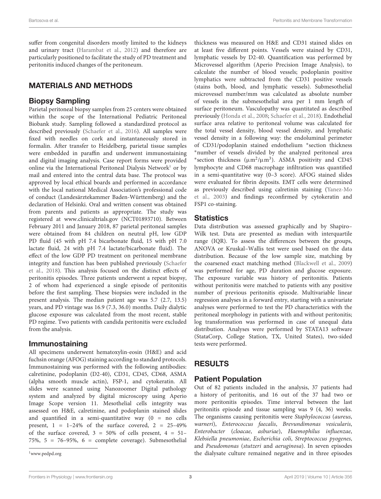suffer from congenital disorders mostly limited to the kidneys and urinary tract [\(Harambat et al.,](#page-10-21) [2012\)](#page-10-21) and therefore are particularly positioned to facilitate the study of PD treatment and peritonitis induced changes of the peritoneum.

# MATERIALS AND METHODS

## Biopsy Sampling

Parietal peritoneal biopsy samples from 25 centers were obtained within the scope of the International Pediatric Peritoneal Biobank study. Sampling followed a standardized protocol as described previously [\(Schaefer et al.,](#page-11-7) [2016\)](#page-11-7). All samples were fixed with needles on cork and instantaneously stored in formalin. After transfer to Heidelberg, parietal tissue samples were embedded in paraffin and underwent immunostaining and digital imaging analysis. Case report forms were provided online via the International Peritoneal Dialysis Network<sup>[1](#page-4-0)</sup> or by mail and entered into the central data base. The protocol was approved by local ethical boards and performed in accordance with the local national Medical Association's professional code of conduct (Landesärztekammer Baden-Württemberg) and the declaration of Helsinki. Oral and written consent was obtained from parents and patients as appropriate. The study was registered at [www.clinicaltrials.gov](http://www.clinicaltrials.gov) (NCT01893710). Between February 2011 and January 2018, 87 parietal peritoneal samples were obtained from 84 children on neutral pH, low GDP PD fluid (45 with pH 7.4 bicarbonate fluid, 15 with pH 7.0 lactate fluid, 24 with pH 7.4 lactate/bicarbonate fluid). The effect of the low GDP PD treatment on peritoneal membrane integrity and function has been published previously [\(Schaefer](#page-10-11) [et al.,](#page-10-11) [2018\)](#page-10-11). This analysis focused on the distinct effects of peritonitis episodes. Three patients underwent a repeat biopsy, 2 of whom had experienced a single episode of peritonitis before the first sampling. These biopsies were included in the present analysis. The median patient age was 5.7 (2.7, 13.5) years, and PD vintage was 16.9 (7.3, 36.0) months. Daily dialytic glucose exposure was calculated from the most recent, stable PD regime. Two patients with candida peritonitis were excluded from the analysis.

### Immunostaining

All specimens underwent hematoxylin-eosin (H&E) and acid fuchsin orange (AFOG) staining according to standard protocols. Immunostaining was performed with the following antibodies: calretinine, podoplanin (D2-40), CD31, CD45, CD68, ASMA (alpha smooth muscle actin), FSP-1, and cytokeratin. All slides were scanned using Nanozoomer Digital pathology system and analyzed by digital microscopy using Aperio Image Scope version 11. Mesothelial cells integrity was assessed on H&E, calretinine, and podoplanin stained slides and quantified in a semi-quantitative way  $(0 = no$  cells present,  $1 = 1-24\%$  of the surface covered,  $2 = 25-49\%$ of the surface covered,  $3 = 50\%$  of cells present,  $4 = 51 -$ 75%, 5 = 76–95%, 6 = complete coverage). Submesothelial

thickness was measured on H&E and CD31 stained slides on at least five different points. Vessels were stained by CD31, lymphatic vessels by D2-40. Quantification was performed by Microvessel algorithm (Aperio Precision Image Analysis), to calculate the number of blood vessels; podoplanin positive lymphatics were subtracted from the CD31 positive vessels (stains both, blood, and lymphatic vessels). Submesothelial microvessel number/mm was calculated as absolute number of vessels in the submesothelial area per 1 mm length of surface peritoneum. Vasculopathy was quantitated as described previously [\(Honda et al.,](#page-10-22) [2008;](#page-10-22) [Schaefer et al.,](#page-10-11) [2018\)](#page-10-11). Endothelial surface area relative to peritoneal volume was calculated for the total vessel density, blood vessel density, and lymphatic vessel density in a following way: the endoluminal perimeter of CD31/podoplanin stained endothelium \*section thickness <sup>∗</sup>number of vessels divided by the analyzed peritoneal area \*section thickness ( $\mu$ m<sup>2</sup>/ $\mu$ m<sup>3</sup>). ASMA positivity and CD45 lymphocyte and CD68 macrophage infiltration was quantified in a semi-quantitative way (0–3 score). AFOG stained slides were evaluated for fibrin deposits. EMT cells were determined as previously described using calretinin staining [\(Yanez-Mo](#page-11-8) [et al.,](#page-11-8) [2003\)](#page-11-8) and findings reconfirmed by cytokeratin and FSP1 co-staining.

### **Statistics**

Data distribution was assessed graphically and by Shapiro– Wilk test. Data are presented as median with interquartile range (IQR). To assess the differences between the groups, ANOVA or Kruskal–Wallis test were used based on the data distribution. Because of the low sample size, matching by the coarsened exact matching method [\(Blackwell et al.,](#page-10-23) [2009\)](#page-10-23) was performed for age, PD duration and glucose exposure. The exposure variable was history of peritonitis. Patients without peritonitis were matched to patients with any positive number of previous peritonitis episode. Multivariable linear regression analyses in a forward entry, starting with a univariate analyses were performed to test the PD characteristics with the peritoneal morphology in patients with and without peritonitis; log transformation was performed in case of unequal data distribution. Analyses were performed by STATA13 software (StataCorp, College Station, TX, United States), two-sided tests were performed.

## RESULTS

## Patient Population

Out of 82 patients included in the analysis, 37 patients had a history of peritonitis, and 16 out of the 37 had two or more peritonitis episodes. Time interval between the last peritonitis episode and tissue sampling was 9 (4, 36) weeks. The organisms causing peritonitis were Staphylococcus (aureus, warneri), Enterococcus faecalis, Brevundimonas vesicularis, Enterobacter (cloacae, asburiae), Haemophilus influenzae, Klebsiella pneumoniae, Escherichia coli, Streptococcus pyogenes, and Pseudomonas (stutzeri and aeruginosa). In seven episodes the dialysate culture remained negative and in three episodes

<span id="page-4-0"></span><sup>1</sup><www.pedpd.org>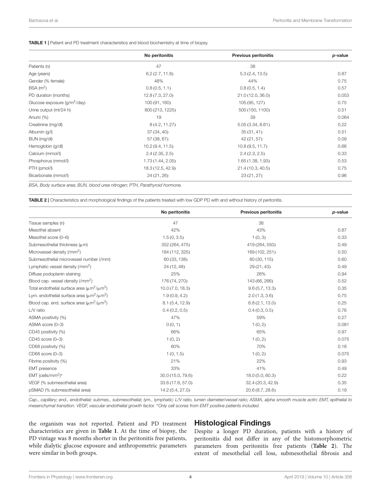#### <span id="page-5-0"></span>TABLE 1 | Patient and PD treatment characteristics and blood biochemistry at time of biopsy.

|                                | No peritonitis    | <b>Previous peritonitis</b> | p-value |
|--------------------------------|-------------------|-----------------------------|---------|
| Patients (n)                   | 47                | 38                          |         |
| Age (years)                    | 6.2(2.7, 11.8)    | 5.3(2.4, 13.5)              | 0.87    |
| Gender (% female)              | 48%               | 44%                         | 0.75    |
| BSA(m <sup>2</sup> )           | 0.8(0.5, 1.1)     | 0.8(0.5, 1.4)               | 0.57    |
| PD duration (months)           | 12.8(7.3, 27.0)   | 21.0 (12.0, 36.0)           | 0.053   |
| Glucose exposure $(g/m^2/day)$ | 100(91, 160)      | 105 (95, 127)               | 0.75    |
| Urine output (ml/24 h)         | 800 (213, 1225)   | 500 (150, 1100)             | 0.51    |
| Anuric (%)                     | 19                | 39                          | 0.064   |
| Creatinine (mg/dl)             | 8(4.2, 11.27)     | 5.05(3.34, 8.61)            | 0.22    |
| Albumin (q/l)                  | 37(34, 40)        | 35(31, 41)                  | 0.51    |
| BUN (mg/dl)                    | 57 (38, 67)       | 42(21, 57)                  | 0.09    |
| Hemoglobin (g/dl)              | 10.2(9.4, 11.5)   | 10.8(9.5, 11.7)             | 0.66    |
| Calcium (mmol/l)               | 2.4(2.35, 2.5)    | 2.4(2.3, 2.5)               | 0.33    |
| Phosphorus (mmol/l)            | 1.73(1.44, 2.05)  | 1.65(1.38, 1.93)            | 0.53    |
| PTH (pmol/l)                   | 18.3 (12.5, 42.9) | 21.4 (10.3, 40.5)           | 0.75    |
| Bicarbonate (mmol/l)           | 24 (21, 26)       | 23(21, 27)                  | 0.96    |

BSA, Body surface area; BUN, blood urea nitrogen; PTH, Parathyroid hormone.

<span id="page-5-1"></span>TABLE 2 | Characteristics and morphological findings of the patients treated with low GDP PD with and without history of peritonitis.

|                                                                                | No peritonitis    | <b>Previous peritonitis</b> | $p$ -value |
|--------------------------------------------------------------------------------|-------------------|-----------------------------|------------|
| Tissue samples (n)                                                             | 47                | 38                          |            |
| Mesothel absent                                                                | 42%               | 43%                         | 0.87       |
| Mesothel score (0-6)                                                           | 1.5(0, 3.5)       | 1(0, 3)                     | 0.33       |
| Submesothelial thickness (um)                                                  | 352 (264, 475)    | 419 (264, 550)              | 0.49       |
| Microvessel density (/mm <sup>2</sup> )                                        | 184 (112, 325)    | 169 (102, 251)              | 0.50       |
| Submesothelial microvessel number (/mm)                                        | 60 (33, 138)      | 80 (30, 115)                | 0.60       |
| Lymphatic vessel density (/mm <sup>2</sup> )                                   | 24(12, 48)        | 29(21, 43)                  | 0.49       |
| Diffuse podoplanin staining                                                    | 25%               | 26%                         | 0.94       |
| Blood cap. vessel density (/mm <sup>2</sup> )                                  | 176 (74, 270)     | 143 (66, 266)               | 0.52       |
| Total endothelial surface area ( $\mu$ m <sup>2</sup> / $\mu$ m <sup>3</sup> ) | 10.0(7.0, 18.3)   | 9.6(5.7, 13.3)              | 0.35       |
| Lym. endothelial surface area $(\mu m^2/\mu m^3)$                              | 1.9(0.9, 4.2)     | 2.0(1.3, 3.6)               | 0.75       |
| Blood cap. end. surface area $(\mu m^2/\mu m^3)$                               | 8.1(5.4, 12.9)    | 6.8(2.1, 13.0)              | 0.25       |
| $L/V$ ratio                                                                    | 0.4(0.2, 0.5)     | 0.4(0.3, 0.5)               | 0.76       |
| ASMA positivity (%)                                                            | 47%               | 59%                         | 0.27       |
| ASMA score (0-3)                                                               | 0(0, 1)           | 1(0, 2)                     | 0.081      |
| CD45 positivity (%)                                                            | 66%               | 65%                         | 0.97       |
| CD45 score (0-3)                                                               | 1(0, 2)           | 1(0, 2)                     | 0.075      |
| CD68 positivity (%)                                                            | 60%               | 70%                         | 0.18       |
| CD68 score (0-3)                                                               | 1(0, 1.5)         | 1(0, 2)                     | 0.075      |
| Fibrine positivity (%)                                                         | 21%               | 22%                         | 0.93       |
| <b>EMT</b> presence                                                            | 33%               | 41%                         | 0.49       |
| $EMT$ (cells/mm <sup>2</sup> )*                                                | 30.0 (15.0, 79.6) | 18.0 (5.0, 60.3)            | 0.22       |
| VEGF (% submesothelial area)                                                   | 33.6 (17.6, 57.0) | 32.4 (20.3, 42.9)           | 0.35       |
| pSMAD (% submesothelial area)                                                  | 14.2 (5.4, 27.0)  | 20.6 (8.7, 28.6)            | 0.19       |

Cap., capillary; end., endothelial; submes., submesothelial; lym., lymphatic; L/V ratio, lumen diameter/vessel ratio; ASMA, alpha smooth muscle actin; EMT, epithelial to mesenchymal transition. VEGF, vascular endothelial growth factor. <sup>∗</sup>Only cell scores from EMT positive patients included.

the organism was not reported. Patient and PD treatment characteristics are given in **[Table 1](#page-5-0)**. At the time of biopsy, the PD vintage was 8 months shorter in the peritonitis free patients, while dialytic glucose exposure and anthropometric parameters were similar in both groups.

## Histological Findings

Despite a longer PD duration, patients with a history of peritonitis did not differ in any of the histomorphometric parameters from peritonitis free patients (**[Table 2](#page-5-1)**). The extent of mesothelial cell loss, submesothelial fibrosis and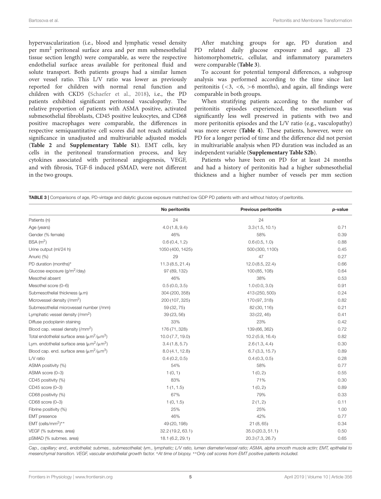hypervascularization (i.e., blood and lymphatic vessel density per mm<sup>2</sup> peritoneal surface area and per mm submesothelial tissue section length) were comparable, as were the respective endothelial surface areas available for peritoneal fluid and solute transport. Both patients groups had a similar lumen over vessel ratio. This L/V ratio was lower as previously reported for children with normal renal function and children with CKD5 [\(Schaefer et al.,](#page-10-11) [2018\)](#page-10-11), i.e., the PD patients exhibited significant peritoneal vasculopathy. The relative proportion of patients with ASMA positive, activated submesothelial fibroblasts, CD45 positive leukocytes, and CD68 positive macrophages were comparable, the differences in respective semiquantitative cell scores did not reach statistical significance in unadjusted and multivariable adjusted models (**[Table 2](#page-5-1)** and **[Supplementary Table S1](#page-9-0)**). EMT cells, key cells in the peritoneal transformation process, and key cytokines associated with peritoneal angiogenesis, VEGF, and with fibrosis, TGF-ß induced pSMAD, were not different in the two groups.

After matching groups for age, PD duration and PD related daily glucose exposure and age, all 23 histomorphometric, cellular, and inflammatory parameters were comparable (**[Table 3](#page-6-0)**).

To account for potential temporal differences, a subgroup analysis was performed according to the time since last peritonitis  $( $3,  $6, >6$  months)$ , and again, all findings were$ comparable in both groups.

When stratifying patients according to the number of peritonitis episodes experienced, the mesothelium was significantly less well preserved in patients with two and more peritonitis episodes and the L/V ratio (e.g., vasculopathy) was more severe (**[Table 4](#page-7-0)**). These patients, however, were on PD for a longer period of time and the difference did not persist in multivariable analysis when PD duration was included as an independent variable (**[Supplementary Table S2b](#page-9-0)**).

Patients who have been on PD for at least 24 months and had a history of peritonitis had a higher submesothelial thickness and a higher number of vessels per mm section

<span id="page-6-0"></span>

|                                                                                | No peritonitis    | <b>Previous peritonitis</b> | p-value |
|--------------------------------------------------------------------------------|-------------------|-----------------------------|---------|
| Patients (n)                                                                   | 24                | 24                          |         |
| Age (years)                                                                    | 4.0(1.8, 9.4)     | 3.3(1.5, 10.1)              | 0.71    |
| Gender (% female)                                                              | 46%               | 58%                         | 0.39    |
| BSA(m <sup>2</sup> )                                                           | 0.6(0.4, 1.2)     | 0.6(0.5, 1.0)               | 0.88    |
| Urine output (ml/24 h)                                                         | 1050 (400, 1425)  | 500 (300, 1100)             | 0.45    |
| Anuric (%)                                                                     | 29                | 47                          | 0.27    |
| PD duration (months)*                                                          | 11.3 (8.5, 21.4)  | 12.0(8.5, 22.4)             | 0.66    |
| Glucose exposure (g/m <sup>2</sup> /day)                                       | 97 (89, 132)      | 100 (85, 108)               | 0.64    |
| Mesothel absent                                                                | 46%               | 38%                         | 0.53    |
| Mesothel score (0-6)                                                           | 0.5(0.0, 3.5)     | 1.0(0.0, 3.0)               | 0.91    |
| Submesothelial thickness (um)                                                  | 304 (200, 358)    | 413 (250, 500)              | 0.24    |
| Microvessel density (/mm <sup>2</sup> )                                        | 200 (107, 325)    | 170 (97, 318)               | 0.82    |
| Submesothelial microvessel number (/mm)                                        | 59 (32, 75)       | 82 (30, 116)                | 0.21    |
| Lymphatic vessel density $\ell$ mm <sup>2</sup> )                              | 39(23, 56)        | 33 (22, 46)                 | 0.41    |
| Diffuse podoplanin staining                                                    | 33%               | 23%                         | 0.42    |
| Blood cap. vessel density (/mm <sup>2</sup> )                                  | 176 (71, 328)     | 139 (66, 362)               | 0.72    |
| Total endothelial surface area ( $\mu$ m <sup>2</sup> / $\mu$ m <sup>3</sup> ) | 10.0(7.7, 19.0)   | 10.2(5.9, 16.4)             | 0.82    |
| Lym. endothelial surface area ( $\mu$ m <sup>2</sup> / $\mu$ m <sup>3</sup> )  | 3.4(1.8, 5.7)     | 2.6(1.3, 4.4)               | 0.30    |
| Blood cap. end. surface area $(\mu m^2/\mu m^3)$                               | 8.0(4.1, 12.8)    | 6.7(3.3, 15.7)              | 0.89    |
| L/V ratio                                                                      | 0.4(0.2, 0.5)     | 0.4(0.3, 0.5)               | 0.28    |
| ASMA positivity (%)                                                            | 54%               | 58%                         | 0.77    |
| ASMA score (0-3)                                                               | 1(0, 1)           | 1(0, 2)                     | 0.55    |
| CD45 positivity (%)                                                            | 83%               | 71%                         | 0.30    |
| CD45 score (0-3)                                                               | 1(1, 1.5)         | 1(0, 2)                     | 0.89    |
| CD68 positivity (%)                                                            | 67%               | 79%                         | 0.33    |
| CD68 score (0-3)                                                               | 1(0, 1.5)         | 2(1, 2)                     | 0.11    |
| Fibrine positivity (%)                                                         | 25%               | 25%                         | 1.00    |
| EMT presence                                                                   | 46%               | 42%                         | 0.77    |
| $EMT$ (cells/mm <sup>2</sup> )**                                               | 49 (20, 198)      | 21(8, 65)                   | 0.34    |
| VEGF (% submes. area)                                                          | 32.2 (19.2, 63.1) | 35.0 (20.3, 51.1)           | 0.50    |
| pSMAD (% submes. area)                                                         | 18.1 (6.2, 29.1)  | 20.3 (7.3, 26.7)            | 0.65    |

Cap., capillary; end., endothelial; submes., submesothelial; lym., lymphatic; L/V ratio, lumen diameter/vessel ratio; ASMA, alpha smooth muscle actin; EMT, epithelial to mesenchymal transition. VEGF, vascular endothelial growth factor. \*At time of biopsy. \*\*Only cell scores from EMT positive patients included.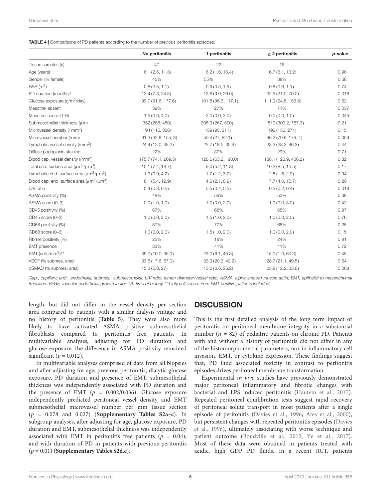<span id="page-7-0"></span>

| <b>TABLE 4</b>   Comparisons of PD patients according to the number of previous peritonitis episodes. |
|-------------------------------------------------------------------------------------------------------|
|-------------------------------------------------------------------------------------------------------|

|                                                   | No peritonitis      | 1 peritonitis       | $\geq$ 2 peritonitis | p-value |
|---------------------------------------------------|---------------------|---------------------|----------------------|---------|
| Tissue samples (n)                                | 47                  | 22                  | 16                   |         |
| Age (years)                                       | 6.1(2.6, 11.3)      | 6.2(1.6, 16.4)      | 6.7(3.1, 13.2)       | 0.96    |
| Gender (% female)                                 | 46%                 | 55%                 | 38%                  | 0.58    |
| BSA(m <sup>2</sup> )                              | 0.8(0.5, 1.1)       | 0.9(0.5, 1.5)       | 0.8(0.6, 1.1)        | 0.74    |
| PD duration (months)*                             | 12.4(7.3, 24.5)     | 13.8 (9.0, 26.0)    | 32.9 (21.0, 70.0)    | 0.018   |
| Glucose exposure (g/m <sup>2</sup> /day)          | 99.7 (91.6, 177.6)  | 101.8 (96.3, 117.1) | 111.9 (94.8, 153.8)  | 0.62    |
| Mesothel absent                                   | 39%                 | 27%                 | 71%                  | 0.037   |
| Mesothel score (0-6)                              | 1.5(0.0, 4.0)       | 2.0(0.0, 3.0)       | 0.0(0.0, 1.0)        | 0.045   |
| Submesothelial thickness $(\mu m)$                | 352 (258, 450)      | 305.3 (267, 500)    | 510 (300.2, 767.3)   | 0.21    |
| Microvessel density ( $/mm2$ )                    | 194 (115, 336)      | 159 (95, 211)       | 192 (150, 271)       | 0.15    |
| Microvessel number (/mm)                          | 61.3 (32.8, 155, 3) | 50.4(27, 82.1)      | 96.2 (79.9, 179, 4)  | 0.059   |
| Lymphatic vessel density $\ell$ mm <sup>2</sup> ) | 24.4 (12.0, 48.2)   | 22.7 (18.5, 35.4)   | 33.3 (28.3, 46.3)    | 0.44    |
| Diffuse podoplanin staining                       | 22%                 | 30%                 | 29%                  | 0.71    |
| Blood cap. vessel density (/mm <sup>2</sup> )     | 175.7 (74.1, 269.5) | 128.6 (63.2, 190.0) | 188.1 (123.9, 406.2) | 0.32    |
| Total end. surface area $(\mu m^2/\mu m^3)$       | 10.1(7.4, 18.7)     | 9.0(5.2, 11.8)      | 10.2(8.5, 15.5)      | 0.17    |
| Lymphatic end. surface area $(\mu m^2/\mu m^3)$   | 1.9(0.9, 4.2)       | 1.7(1.2, 3.7)       | 2.5(1.6, 2.9)        | 0.94    |
| Blood cap. end. surface area $(\mu m^2/\mu m^3)$  | 8.1(5.4, 12.9)      | 4.6(2.1, 8.9)       | 7.7(4.0, 15.7)       | 0.20    |
| $L/V$ ratio                                       | 0.4(0.3, 0.5)       | 0.5(0.4, 0.5)       | 0.3(0.2, 0.4)        | 0.018   |
| ASMA positivity (%)                               | 48%                 | 59%                 | 53%                  | 0.68    |
| ASMA score (0-3)                                  | 0.0(1.0, 1.0)       | 1.0(0.0, 2.0)       | 1.0(0.0, 3.0)        | 0.42    |
| CD45 positivity (%)                               | 67%                 | 68%                 | 65%                  | 0.97    |
| CD45 score (0-3)                                  | 1.0(0.0, 2.0)       | 1.5(1.0, 2.0)       | 1.0(0.0, 2.0)        | 0.76    |
| CD68 positivity (%)                               | 57%                 | 77%                 | 65%                  | 0.25    |
| CD68 score (0-3)                                  | 1.0(0.0, 2.0)       | 1.5(1.0, 2.0)       | 1.0(0.0, 2.0)        | 0.15    |
| Fibrine positivity (%)                            | 22%                 | 18%                 | 24%                  | 0.91    |
| EMT presence                                      | 33%                 | 41%                 | 41%                  | 0.72    |
| $EMT$ (cells/mm <sup>2</sup> ) <sup>**</sup>      | 35.0 (10.0, 95.0)   | 23.0(6.1, 45.3)     | 15.0(1.0, 60.3)      | 0.45    |
| VEGF (% submes. area)                             | 33.6 (17.6, 57.0)   | 33.3 (20.3, 42.2)   | 28.7 (21.1, 49.5)    | 0.64    |
| pSMAD (% submes. area)                            | 15.3(5.8, 27)       | 13.6 (6.6, 26.2)    | 25.8 (12.2, 33.6)    | 0.068   |

Cap., capillary; end., endothelial; submes., submesothelial. L/V ratio, lumen diameter/vessel ratio; ASMA, alpha smooth muscle actin; EMT, epithelial to mesenchymal transition. VEGF, vascular endothelial growth factor. \*At time of biopsy. \*\*Only cell scores from EMT positive patients included.

length, but did not differ in the vessel density per section area compared to patients with a similar dialysis vintage and no history of peritonitis (**[Table 5](#page-8-0)**). They were also more likely to have activated ASMA positive submesothelial fibroblasts compared to peritonitis free patients. In multivariable analyses, adjusting for PD duration and glucose exposure, the difference in ASMA positivity remained significant ( $p = 0.012$ ).

In multivariable analyses comprised of data from all biopsies and after adjusting for age, previous peritonitis, dialytic glucose exposure, PD duration and presence of EMT, submesothelial thickness was independently associated with PD duration and the presence of EMT ( $p = 0.002/0.036$ ). Glucose exposure independently predicted peritoneal vessel density and EMT submesothelial microvessel number per mm tissue section (p = 0.078 and 0.027) (**[Supplementary Tables S2a–c](#page-9-0)**). In subgroup analyses, after adjusting for age, glucose exposure, PD duration and EMT, submesothelial thickness was independently associated with EMT in peritonitis free patients ( $p = 0.04$ ), and with duration of PD in patients with previous peritonitis (p = 0.01) (**[Supplementary Tables S2d](#page-9-0)**,**[e](#page-9-0)**).

## **DISCUSSION**

This is the first detailed analysis of the long term impact of peritonitis on peritoneal membrane integrity in a substantial number ( $n = 82$ ) of pediatric patients on chronic PD. Patients with and without a history of peritonitis did not differ in any of the histomorphometric parameters, nor in inflammatory cell invasion, EMT, or cytokine expression. These findings suggest that, PD fluid associated toxicity in contrast to peritonitis episodes drives peritoneal membrane transformation.

Experimental in vivo studies have previously demonstrated major peritoneal inflammatory and fibrotic changes with bacterial and LPS induced peritonitis [\(Hautem et al.,](#page-10-24) [2017\)](#page-10-24). Repeated peritoneal equilibration tests suggest rapid recovery of peritoneal solute transport in most patients after a single episode of peritonitis [\(Davies et al.,](#page-10-14) [1996;](#page-10-14) [Ates et al.,](#page-10-16) [2000\)](#page-10-16), but persistent changes with repeated peritonitis episodes [\(Davies](#page-10-14) [et al.,](#page-10-14) [1996\)](#page-10-14), ultimately associating with worse technique and patient outcome [\(Boudville et al.,](#page-10-15) [2012;](#page-10-15) [Ye et al.,](#page-11-4) [2017\)](#page-11-4). Most of these data were obtained in patients treated with acidic, high GDP PD fluids. In a recent RCT, patients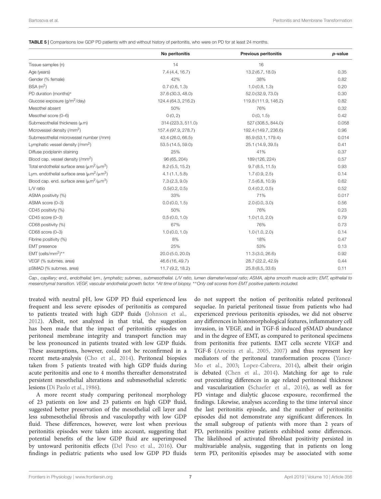<span id="page-8-0"></span>

|                                                    | No peritonitis      | <b>Previous peritonitis</b> | p-value |
|----------------------------------------------------|---------------------|-----------------------------|---------|
| Tissue samples (n)                                 | 14                  | 16                          |         |
| Age (years)                                        | 7.4(4.4, 16.7)      | 13.2 (6.7, 18.0)            | 0.35    |
| Gender (% female)                                  | 42%                 | 38%                         | 0.82    |
| BSA(m <sup>2</sup> )                               | 0.7(0.6, 1.3)       | 1.0(0.8, 1.3)               | 0.20    |
| PD duration (months)*                              | 37.6 (30.3, 48.0)   | 52.0 (32.9, 73.0)           | 0.30    |
| Glucose exposure (g/m <sup>2</sup> /day)           | 124.4 (64.3, 216.2) | 119.8 (111.9, 146.2)        | 0.82    |
| Mesothel absent                                    | 50%                 | 76%                         | 0.32    |
| Mesothel score (0-6)                               | 0(0, 2)             | 0(0, 1.5)                   | 0.42    |
| Submesothelial thickness (µm)                      | 314 (223.3, 511.0)  | 527 (308.5, 844.0)          | 0.058   |
| Microvessel density (/mm <sup>2</sup> )            | 157.4 (97.9, 278.7) | 192.4 (149.7, 236.6)        | 0.96    |
| Submesothelial microvessel number (/mm)            | 43.4 (26.0, 66.5)   | 85.9 (53.1, 179.4)          | 0.014   |
| Lymphatic vessel density $\ell$ mm <sup>2</sup> )  | 53.5 (14.5, 59.0)   | 25.1 (14.9, 39.5)           | 0.41    |
| Diffuse podplanin staining                         | 25%                 | 41%                         | 0.37    |
| Blood cap. vessel density (/mm <sup>2</sup> )      | 96 (65, 204)        | 189 (126, 224)              | 0.57    |
| Total endothelial surface area $(\mu m^2/\mu m^3)$ | 8.2(5.5, 15.2)      | 9.7(8.5, 11.5)              | 0.93    |
| Lym. endothelial surface area $(\mu m^2/\mu m^3)$  | 4.1(1.1, 5.8)       | 1.7(0.9, 2.5)               | 0.14    |
| Blood cap. end. surface area $(\mu m^2/\mu m^3)$   | 7.3(2.3, 9.0)       | 7.5(6.8, 10.9)              | 0.62    |
| L/V ratio                                          | 0.5(0.2, 0.5)       | 0.4(0.2, 0.5)               | 0.52    |
| ASMA positivity (%)                                | 33%                 | 71%                         | 0.017   |
| ASMA score (0-3)                                   | 0.0(0.0, 1.5)       | 2.0(0.0, 3.0)               | 0.56    |
| CD45 positivty (%)                                 | 50%                 | 76%                         | 0.23    |
| CD45 score (0-3)                                   | 0.5(0.0, 1.0)       | 1.0(1.0, 2.0)               | 0.79    |
| CD68 positivity (%)                                | 67%                 | 76%                         | 0.73    |
| CD68 score (0-3)                                   | 1.0(0.0, 1.0)       | 1.0(1.0, 2.0)               | 0.14    |
| Fibrine positivity (%)                             | 8%                  | 18%                         | 0.47    |
| <b>EMT</b> presence                                | 25%                 | 53%                         | 0.13    |
| $EMT$ (cells/mm <sup>2</sup> )**                   | 20.0(5.0, 20.0)     | 11.3(3.0, 26.6)             | 0.92    |
| VEGF (% submes. area)                              | 46.6 (16, 49.7)     | 28.7 (22.2, 42.9)           | 0.44    |
| pSMAD (% submes. area)                             | 11.7(9.2, 18.2)     | 25.8 (8.5, 33.6)            | 0.11    |

Cap., capillary; end., endothelial; lym., lymphatic; submes., submesothelial. L/V ratio, lumen diameter/vessel ratio; ASMA, alpha smooth muscle actin; EMT, epithelial to mesenchymal transition. VEGF, vascular endothelial growth factor. \*At time of biopsy. \*\*Only cell scores from EMT positive patients included.

treated with neutral pH, low GDP PD fluid experienced less frequent and less severe episodes of peritonitis as compared to patients treated with high GDP fluids [\(Johnson et al.,](#page-10-25) [2012\)](#page-10-25). Albeit, not analyzed in that trial, the suggestion has been made that the impact of peritonitis episodes on peritoneal membrane integrity and transport function may be less pronounced in patients treated with low GDP fluids. These assumptions, however, could not be reconfirmed in a recent meta-analysis [\(Cho et al.,](#page-10-26) [2014\)](#page-10-26). Peritoneal biopsies taken from 5 patients treated with high GDP fluids during acute peritonitis and one to 4 months thereafter demonstrated persistent mesothelial alterations and submesothelial sclerotic lesions [\(Di Paolo et al.,](#page-10-17) [1986\)](#page-10-17).

A more recent study comparing peritoneal morphology of 23 patients on low and 23 patients on high GDP fluid, suggested better preservation of the mesothelial cell layer and less submesothelial fibrosis and vasculopathy with low GDP fluid. These differences, however, were lost when previous peritonitis episodes were taken into account, suggesting that potential benefits of the low GDP fluid are superimposed by untoward peritonitis effects [\(Del Peso et al.,](#page-10-27) [2016\)](#page-10-27). Our findings in pediatric patients who used low GDP PD fluids

do not support the notion of peritonitis related peritoneal sequelae. In parietal peritoneal tissue from patients who had experienced previous peritonitis episodes, we did not observe any differences in histomorphological features, inflammatory cell invasion, in VEGF, and in TGF-ß induced pSMAD abundance and in the degree of EMT, as compared to peritoneal specimens from peritonitis free patients. EMT cells secrete VEGF and TGF-ß [\(Aroeira et al.,](#page-10-28) [2005,](#page-10-28) [2007\)](#page-10-29) and thus represent key mediators of the peritoneal transformation process [\(Yanez-](#page-11-8)[Mo et al.,](#page-11-8) [2003;](#page-11-8) [Lopez-Cabrera,](#page-10-30) [2014\)](#page-10-30), albeit their origin is debated [\(Chen et al.,](#page-10-31) [2014\)](#page-10-31). Matching for age to rule out preexisting differences in age related peritoneal thickness and vascularization [\(Schaefer et al.,](#page-11-7) [2016\)](#page-11-7), as well as for PD vintage and dialytic glucose exposure, reconfirmed the findings. Likewise, analyses according to the time interval since the last peritonitis episode, and the number of peritonitis episodes did not demonstrate any significant differences. In the small subgroup of patients with more than 2 years of PD, peritonitis positive patients exhibited some differences. The likelihood of activated fibroblast positivity persisted in multivariable analysis, suggesting that in patients on long term PD, peritonitis episodes may be associated with some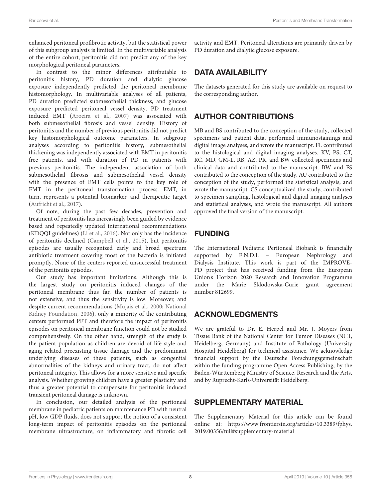enhanced peritoneal profibrotic activity, but the statistical power of this subgroup analysis is limited. In the multivariable analysis of the entire cohort, peritonitis did not predict any of the key morphological peritoneal parameters.

In contrast to the minor differences attributable to peritonitis history, PD duration and dialytic glucose exposure independently predicted the peritoneal membrane histomorphology. In multivariable analyses of all patients, PD duration predicted submesothelial thickness, and glucose exposure predicted peritoneal vessel density. PD treatment induced EMT [\(Aroeira et al.,](#page-10-29) [2007\)](#page-10-29) was associated with both submesothelial fibrosis and vessel density. History of peritonitis and the number of previous peritonitis did not predict key histomorphological outcome parameters. In subgroup analyses according to peritonitis history, submesothelial thickening was independently associated with EMT in peritonitis free patients, and with duration of PD in patients with previous peritonitis. The independent association of both submesothelial fibrosis and submesothelial vessel density with the presence of EMT cells points to the key role of EMT in the peritoneal transformation process. EMT, in turn, represents a potential biomarker, and therapeutic target [\(Aufricht et al.,](#page-10-32) [2017\)](#page-10-32).

Of note, during the past few decades, prevention and treatment of peritonitis has increasingly been guided by evidence based and repeatedly updated international recommendations (KDQQI guidelines) [\(Li et al.,](#page-10-33) [2016\)](#page-10-33). Not only has the incidence of peritonitis declined [\(Campbell et al.,](#page-10-34) [2015\)](#page-10-34), but peritonitis episodes are usually recognized early and broad spectrum antibiotic treatment covering most of the bacteria is initiated promptly. None of the centers reported unsuccessful treatment of the peritonitis episodes.

Our study has important limitations. Although this is the largest study on peritonitis induced changes of the peritoneal membrane thus far, the number of patients is not extensive, and thus the sensitivity is low. Moreover, and despite current recommendations [\(Mujais et al.,](#page-10-35) [2000;](#page-10-35) [National](#page-10-36) [Kidney Foundation,](#page-10-36) [2006\)](#page-10-36), only a minority of the contributing centers performed PET and therefore the impact of peritonitis episodes on peritoneal membrane function could not be studied comprehensively. On the other hand, strength of the study is the patient population as children are devoid of life style and aging related preexisting tissue damage and the predominant underlying diseases of these patients, such as congenital abnormalities of the kidneys and urinary tract, do not affect peritoneal integrity. This allows for a more sensitive and specific analysis. Whether growing children have a greater plasticity and thus a greater potential to compensate for peritonitis induced transient peritoneal damage is unknown.

In conclusion, our detailed analysis of the peritoneal membrane in pediatric patients on maintenance PD with neutral pH, low GDP fluids, does not support the notion of a consistent long-term impact of peritonitis episodes on the peritoneal membrane ultrastructure, on inflammatory and fibrotic cell

activity and EMT. Peritoneal alterations are primarily driven by PD duration and dialytic glucose exposure.

## DATA AVAILABILITY

The datasets generated for this study are available on request to the corresponding author.

# AUTHOR CONTRIBUTIONS

MB and BS contributed to the conception of the study, collected specimens and patient data, performed immunostainings and digital image analyses, and wrote the manuscript. FL contributed to the histological and digital imaging analyses. KV, PS, CT, RC, MD, GM-L, RB, AZ, PR, and BW collected specimens and clinical data and contributed to the manuscript. BW and FS contributed to the conception of the study. AU contributed to the conception of the study, performed the statistical analysis, and wrote the manuscript. CS conceptualized the study, contributed to specimen sampling, histological and digital imaging analyses and statistical analyses, and wrote the manuscript. All authors approved the final version of the manuscript.

# FUNDING

The International Pediatric Peritoneal Biobank is financially supported by E.N.D.I. – European Nephrology and Dialysis Institute. This work is part of the IMPROVE-PD project that has received funding from the European Union's Horizon 2020 Research and Innovation Programme under the Marie Sklodowska-Curie grant agreement number 812699.

# ACKNOWLEDGMENTS

We are grateful to Dr. E. Herpel and Mr. J. Moyers from Tissue Bank of the National Center for Tumor Diseases (NCT, Heidelberg, Germany) and Institute of Pathology (University Hospital Heidelberg) for technical assistance. We acknowledge financial support by the Deutsche Forschungsgemeinschaft within the funding programme Open Access Publishing, by the Baden-Württemberg Ministry of Science, Research and the Arts, and by Ruprecht-Karls-Universität Heidelberg.

# <span id="page-9-0"></span>SUPPLEMENTARY MATERIAL

The Supplementary Material for this article can be found online at: [https://www.frontiersin.org/articles/10.3389/fphys.](https://www.frontiersin.org/articles/10.3389/fphys.2019.00356/full#supplementary-material) [2019.00356/full#supplementary-material](https://www.frontiersin.org/articles/10.3389/fphys.2019.00356/full#supplementary-material)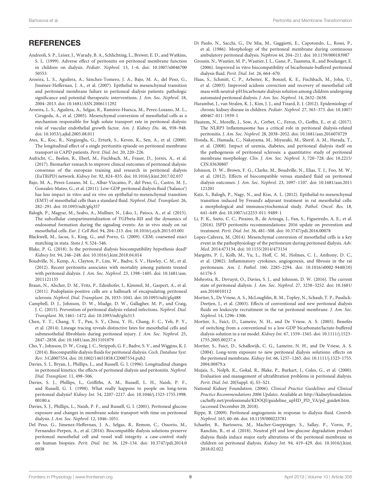- significance and potential therapeutic interventions. J. Am. Soc. Nephrol. 18, 2004–2013. [doi: 10.1681/ASN.2006111292](https://doi.org/10.1681/ASN.2006111292)
- <span id="page-10-28"></span>Aroeira, L. S., Aguilera, A., Selgas, R., Ramirez-Huesca, M., Perez-Lozano, M. L., Cirugeda, A., et al. (2005). Mesenchymal conversion of mesothelial cells as a mechanism responsible for high solute transport rate in peritoneal dialysis: role of vascular endothelial growth factor. Am. J. Kidney Dis. 46, 938–948. [doi: 10.1053/j.ajkd.2005.08.011](https://doi.org/10.1053/j.ajkd.2005.08.011)

<span id="page-10-13"></span>Andreoli, S. P., Leiser, J., Warady, B. A., Schlichting, L., Brewer, E. D., and Watkins, S. L. (1999). Adverse effect of peritonitis on peritoneal membrane function in children on dialysis. Pediatr. Nephrol. 13, 1–6. [doi: 10.1007/s0046700](https://doi.org/10.1007/s004670050553)

<span id="page-10-29"></span>Aroeira, L. S., Aguilera, A., Sánchez-Tomero, J. A., Bajo, M. A., del Peso, G., Jiménez-Heffernan, J. A., et al. (2007). Epithelial to mesenchymal transition and peritoneal membrane failure in peritoneal dialysis patients: pathologic

- <span id="page-10-16"></span>Ates, K., Koc, R., Nergizoglu, G., Erturk, S., Keven, K., Sen, A., et al. (2000). The longitudinal effect of a single peritonitis episode on peritoneal membrane transport in CAPD patients. Perit. Dial. Int. 20, 220–226.
- <span id="page-10-32"></span>Aufricht, C., Beelen, R., Eberl, M., Fischbach, M., Fraser, D., Jorres, A., et al. (2017). Biomarker research to improve clinical outcomes of peritoneal dialysis: consensus of the european training and research in peritoneal dialysis (EuTRiPD) network. Kidney Int. 92, 824–835. [doi: 10.1016/j.kint.2017.02.037](https://doi.org/10.1016/j.kint.2017.02.037)
- <span id="page-10-9"></span>Bajo, M. A., Perez-Lozano, M. L., Albar-Vizcaino, P., del Peso, G., Castro, M. J., Gonzalez-Mateo, G., et al. (2011). Low-GDP peritoneal dialysis fluid ('balance') has less impact in vitro and ex vivo on epithelial-to-mesenchymal transition (EMT) of mesothelial cells than a standard fluid. Nephrol. Dial. Transplant. 26, 282–291. [doi: 10.1093/ndt/gfq357](https://doi.org/10.1093/ndt/gfq357)
- <span id="page-10-19"></span>Balogh, P., Magyar, M., Szabo, A., Mullner, N., Liko, I., Patocs, A., et al. (2015). The subcellular compartmentalization of TGFbeta-RII and the dynamics of endosomal formation during the signaling events: An in vivo study on rat mesothelial cells. Eur. J. Cell Biol. 94, 204–213. [doi: 10.1016/j.ejcb.2015.03.001](https://doi.org/10.1016/j.ejcb.2015.03.001)
- <span id="page-10-23"></span>Blackwell, M., Iacus, S., King, G., and Porro, G. (2009). CEM: coarsened exact matching in stata. Stata J. 9, 524–546.
- <span id="page-10-12"></span>Blake, P. G. (2018). Is the peritoneal dialysis biocompatibility hypothesis dead? Kidney Int. 94, 246–248. [doi: 10.1016/j.kint.2018.04.014](https://doi.org/10.1016/j.kint.2018.04.014)
- <span id="page-10-15"></span>Boudville, N., Kemp, A., Clayton, P., Lim, W., Badve, S. V., Hawley, C. M., et al. (2012). Recent peritonitis associates with mortality among patients treated with peritoneal dialysis. J. Am. Soc. Nephrol. 23, 1398–1405. [doi: 10.1681/asn.](https://doi.org/10.1681/asn.2011121135) [2011121135](https://doi.org/10.1681/asn.2011121135)
- <span id="page-10-1"></span>Braun, N., Alscher, D. M., Fritz, P., Edenhofer, I., Kimmel, M., Gaspert, A., et al. (2011). Podoplanin-positive cells are a hallmark of encapsulating peritoneal sclerosis. Nephrol. Dial. Transplant. 26, 1033–1041. [doi: 10.1093/ndt/gfq488](https://doi.org/10.1093/ndt/gfq488)
- <span id="page-10-34"></span>Campbell, D. J., Johnson, D. W., Mudge, D. W., Gallagher, M. P., and Craig, J. C. (2015). Prevention of peritoneal dialysis-related infections. Nephrol. Dial. Transplant. 30, 1461–1472. [doi: 10.1093/ndt/gfu313](https://doi.org/10.1093/ndt/gfu313)
- <span id="page-10-31"></span>Chen, Y. T., Chang, Y. T., Pan, S. Y., Chou, Y. H., Chang, F. C., Yeh, P. Y., et al. (2014). Lineage tracing reveals distinctive fates for mesothelial cells and submesothelial fibroblasts during peritoneal injury. J. Am. Soc. Nephrol. 25, 2847–2858. [doi: 10.1681/asn.2013101079](https://doi.org/10.1681/asn.2013101079)
- <span id="page-10-26"></span>Cho, Y., Johnson, D. W., Craig, J. C., Strippoli, G. F., Badve, S. V., and Wiggins, K. J. (2014). Biocompatible dialysis fluids for peritoneal dialysis. Coch. Database Syst. Rev. 3:Cd007554. [doi: 10.1002/14651858.CD007554.pub2](https://doi.org/10.1002/14651858.CD007554.pub2)
- <span id="page-10-14"></span>Davies, S. J., Bryan, J., Phillips, L., and Russell, G. I. (1996). Longitudinal changes in peritoneal kinetics: the effects of peritoneal dialysis and peritonitis. Nephrol. Dial. Transplant. 11, 498–506.
- <span id="page-10-2"></span>Davies, S. J., Phillips, L., Griffiths, A. M., Russell, L. H., Naish, P. F., and Russell, G. I. (1998). What really happens to people on long-term peritoneal dialysis? Kidney Int. 54, 2207–2217. [doi: 10.1046/j.1523-1755.1998.](https://doi.org/10.1046/j.1523-1755.1998.00180.x) [00180.x](https://doi.org/10.1046/j.1523-1755.1998.00180.x)
- <span id="page-10-3"></span>Davies, S. J., Phillips, L., Naish, P. F., and Russell, G. I. (2001). Peritoneal glucose exposure and changes in membrane solute transport with time on peritoneal dialysis. J. Am. Soc. Nephrol. 12, 1046–1051.
- <span id="page-10-27"></span>Del Peso, G., Jimenez-Heffernan, J. A., Selgas, R., Remon, C., Ossorio, M., Fernandez-Perpen, A., et al. (2016). Biocompatible dialysis solutions preserve peritoneal mesothelial cell and vessel wall integrity. a case-control study on human biopsies. Perit. Dial. Int. 36, 129–134. [doi: 10.3747/pdi.2014.0](https://doi.org/10.3747/pdi.2014.00038) [0038](https://doi.org/10.3747/pdi.2014.00038)
- <span id="page-10-17"></span>Di Paolo, N., Sacchi, G., De Mia, M., Gaggiotti, E., Capotondo, L., Rossi, P., et al. (1986). Morphology of the peritoneal membrane during continuous ambulatory peritoneal dialysis. Nephron 44, 204–211. [doi: 10.1159/000183987](https://doi.org/10.1159/000183987)
- <span id="page-10-7"></span>Grossin, N., Wautier, M. P., Wautier, J. L., Gane, P., Taamma, R., and Boulanger, E. (2006). Improved in vitro biocompatibility of bicarbonate-buffered peritoneal dialysis fluid. Perit. Dial. Int. 26, 664–670.
- <span id="page-10-10"></span>Haas, S., Schmitt, C. P., Arbeiter, K., Bonzel, K. E., Fischbach, M., John, U., et al. (2003). Improved acidosis correction and recovery of mesothelial cell mass with neutral-pH bicarbonate dialysis solution among children undergoing automated peritoneal dialysis. J. Am. Soc. Nephrol. 14, 2632–2638.
- <span id="page-10-21"></span>Harambat, J., van Stralen, K. J., Kim, J. J., and Tizard, E. J. (2012). Epidemiology of chronic kidney disease in children. Pediatr. Nephrol. 27, 363–373. [doi: 10.1007/](https://doi.org/10.1007/s00467-011-1939-1) [s00467-011-1939-1](https://doi.org/10.1007/s00467-011-1939-1)
- <span id="page-10-24"></span>Hautem, N., Morelle, J., Sow, A., Corbet, C., Feron, O., Goffin, E., et al. (2017). The NLRP3 Inflammasome has a critical role in peritoneal dialysis-related peritonitis. J. Am. Soc. Nephrol. 28, 2038–2052. [doi: 10.1681/asn.2016070729](https://doi.org/10.1681/asn.2016070729)
- <span id="page-10-22"></span>Honda, K., Hamada, C., Nakayama, M., Miyazaki, M., Sherif, A. M., Harada, T., et al. (2008). Impact of uremia, diabetes, and peritoneal dialysis itself on the pathogenesis of peritoneal sclerosis: a quantitative study of peritoneal membrane morphology. Clin. J. Am. Soc. Nephrol. 3, 720–728. [doi: 10.2215/](https://doi.org/10.2215/CJN.03630807) [CJN.03630807](https://doi.org/10.2215/CJN.03630807)
- <span id="page-10-25"></span>Johnson, D. W., Brown, F. G., Clarke, M., Boudville, N., Elias, T. J., Foo, M. W., et al. (2012). Effects of biocompatible versus standard fluid on peritoneal dialysis outcomes. J. Am. Soc. Nephrol. 23, 1097–1107. [doi: 10.1681/asn.2011](https://doi.org/10.1681/asn.2011121201) [121201](https://doi.org/10.1681/asn.2011121201)
- <span id="page-10-18"></span>Katz, S., Balogh, P., Nagy, N., and Kiss, A. L. (2012). Epithelial-to-mesenchymal transition induced by Freund's adjuvant treatment in rat mesothelial cells: a morphological and immunocytochemical study. Pathol. Oncol. Res. 18, 641–649. [doi: 10.1007/s12253-011-9489-1](https://doi.org/10.1007/s12253-011-9489-1)
- <span id="page-10-33"></span>Li, P. K., Szeto, C. C., Piraino, B., de Arteaga, J., Fan, S., Figueiredo, A. E., et al. (2016). ISPD peritonitis recommendations: 2016 update on prevention and treatment. Perit. Dial. Int. 36, 481–508. [doi: 10.3747/pdi.2016.00078](https://doi.org/10.3747/pdi.2016.00078)
- <span id="page-10-30"></span>Lopez-Cabrera, M. (2014). Mesenchymal conversion of mesothelial cells is a key event in the pathophysiology of the peritoneum during peritoneal dialysis. Adv. Med. 2014:473134. [doi: 10.1155/2014/473134](https://doi.org/10.1155/2014/473134)
- <span id="page-10-20"></span>Margetts, P. J., Kolb, M., Yu, L., Hoff, C. M., Holmes, C. J., Anthony, D. C., et al. (2002). Inflammatory cytokines, angiogenesis, and fibrosis in the rat peritoneum. Am. J. Pathol. 160, 2285–2294. [doi: 10.1016/s0002-9440\(10\)](https://doi.org/10.1016/s0002-9440(10)61176-5) [61176-5](https://doi.org/10.1016/s0002-9440(10)61176-5)
- <span id="page-10-0"></span>Mehrotra, R., Devuyst, O., Davies, S. J., and Johnson, D. W. (2016). The current state of peritoneal dialysis. J. Am. Soc. Nephrol. 27, 3238–3252. [doi: 10.1681/](https://doi.org/10.1681/asn.2016010112) [asn.2016010112](https://doi.org/10.1681/asn.2016010112)
- <span id="page-10-4"></span>Mortier, S., De Vriese, A. S., McLoughlin, R. M., Topley, N., Schaub, T. P., Passlick-Deetjen, J., et al. (2003). Effects of conventional and new peritoneal dialysis fluids on leukocyte recruitment in the rat peritoneal membrane. J. Am. Soc. Nephrol. 14, 1296–1306.
- <span id="page-10-6"></span>Mortier, S., Faict, D., Lameire, N. H., and De Vriese, A. S. (2005). Benefits of switching from a conventional to a low-GDP bicarbonate/lactate-buffered dialysis solution in a rat model. Kidney Int. 67, 1559–1565. [doi: 10.1111/j.1523-](https://doi.org/10.1111/j.1523-1755.2005.00237.x) [1755.2005.00237.x](https://doi.org/10.1111/j.1523-1755.2005.00237.x)
- <span id="page-10-5"></span>Mortier, S., Faict, D., Schalkwijk, C. G., Lameire, N. H., and De Vriese, A. S. (2004). Long-term exposure to new peritoneal dialysis solutions: effects on the peritoneal membrane. Kidney Int. 66, 1257–1265. [doi: 10.1111/j.1523-1755.](https://doi.org/10.1111/j.1523-1755.2004.00879.x) [2004.00879.x](https://doi.org/10.1111/j.1523-1755.2004.00879.x)
- <span id="page-10-35"></span>Mujais, S., Nolph, K., Gokal, R., Blake, P., Burkart, J., Coles, G., et al. (2000). Evaluation and management of ultrafiltration problems in peritoneal dialysis. Perit. Dial. Int. 20(Suppl. 4), S5–S21.
- <span id="page-10-36"></span>National Kidney Foundation. (2006). Clinical Practice Guidelines and Clinical Practice Recommendations 2006 Updates. Available at: [http://kidneyfoundation.](http://kidneyfoundation.cachefly.net/professionals/KDOQI/guideline_upHD_PD_VA/pd_guide6.htm) [cachefly.net/professionals/KDOQI/guideline\\_upHD\\_PD\\_VA/pd\\_guide6.htm.](http://kidneyfoundation.cachefly.net/professionals/KDOQI/guideline_upHD_PD_VA/pd_guide6.htm) (accessed December 20, 2018).
- <span id="page-10-8"></span>Rippe, B. (2009). Peritoneal angiogenesis in response to dialysis fluid. Contrib. Nephrol. 163, 60–66. [doi: 10.1159/000223781](https://doi.org/10.1159/000223781)
- <span id="page-10-11"></span>Schaefer, B., Bartosova, M., Macher-Goeppinger, S., Sallay, P., Voros, P., Ranchin, B., et al. (2018). Neutral pH and low-glucose degradation product dialysis fluids induce major early alterations of the peritoneal membrane in children on peritoneal dialysis. Kidney Int. 94, 419–429. [doi: 10.1016/j.kint.](https://doi.org/10.1016/j.kint.2018.02.022) [2018.02.022](https://doi.org/10.1016/j.kint.2018.02.022)

[50553](https://doi.org/10.1007/s004670050553)

**REFERENCES**